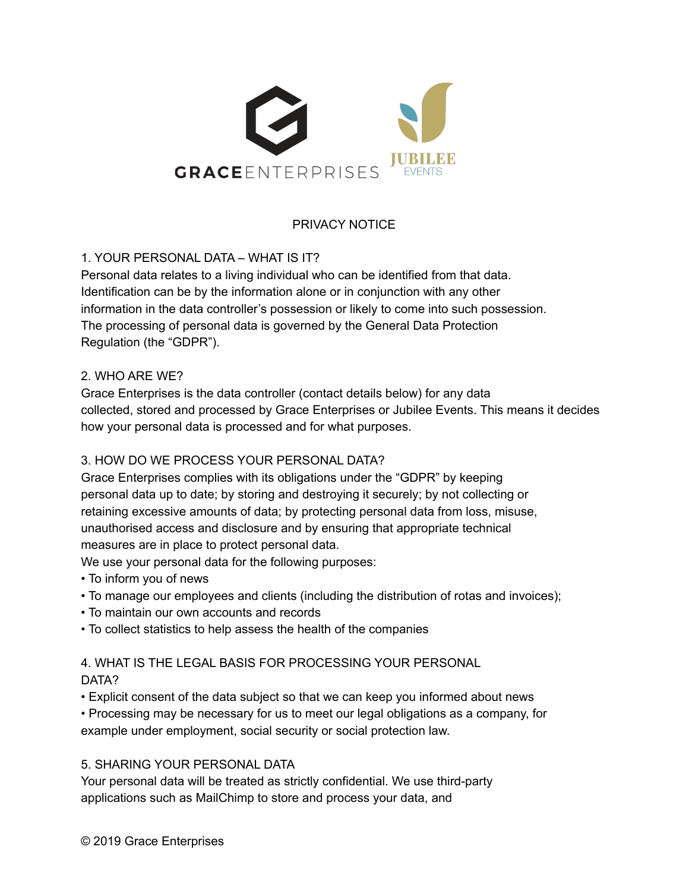

## PRIVACY NOTICE

1. YOUR PERSONAL DATA – WHAT IS IT?

Personal data relates to a living individual who can be identified from that data. Identification can be by the information alone or in conjunction with any other information in the data controller's possession or likely to come into such possession. The processing of personal data is governed by the General Data Protection Regulation (the "GDPR").

#### 2. WHO ARE WE?

Grace Enterprises is the data controller (contact details below) for any data collected, stored and processed by Grace Enterprises or Jubilee Events. This means it decides how your personal data is processed and for what purposes.

#### 3. HOW DO WE PROCESS YOUR PERSONAL DATA?

Grace Enterprises complies with its obligations under the "GDPR" by keeping personal data up to date; by storing and destroying it securely; by not collecting or retaining excessive amounts of data; by protecting personal data from loss, misuse, unauthorised access and disclosure and by ensuring that appropriate technical measures are in place to protect personal data.

We use your personal data for the following purposes:

- To inform you of news
- To manage our employees and clients (including the distribution of rotas and invoices);
- To maintain our own accounts and records
- To collect statistics to help assess the health of the companies

# 4. WHAT IS THE LEGAL BASIS FOR PROCESSING YOUR PERSONAL

#### DATA?

• Explicit consent of the data subject so that we can keep you informed about news

• Processing may be necessary for us to meet our legal obligations as a company, for example under employment, social security or social protection law.

#### 5. SHARING YOUR PERSONAL DATA

Your personal data will be treated as strictly confidential. We use third-party applications such as MailChimp to store and process your data, and